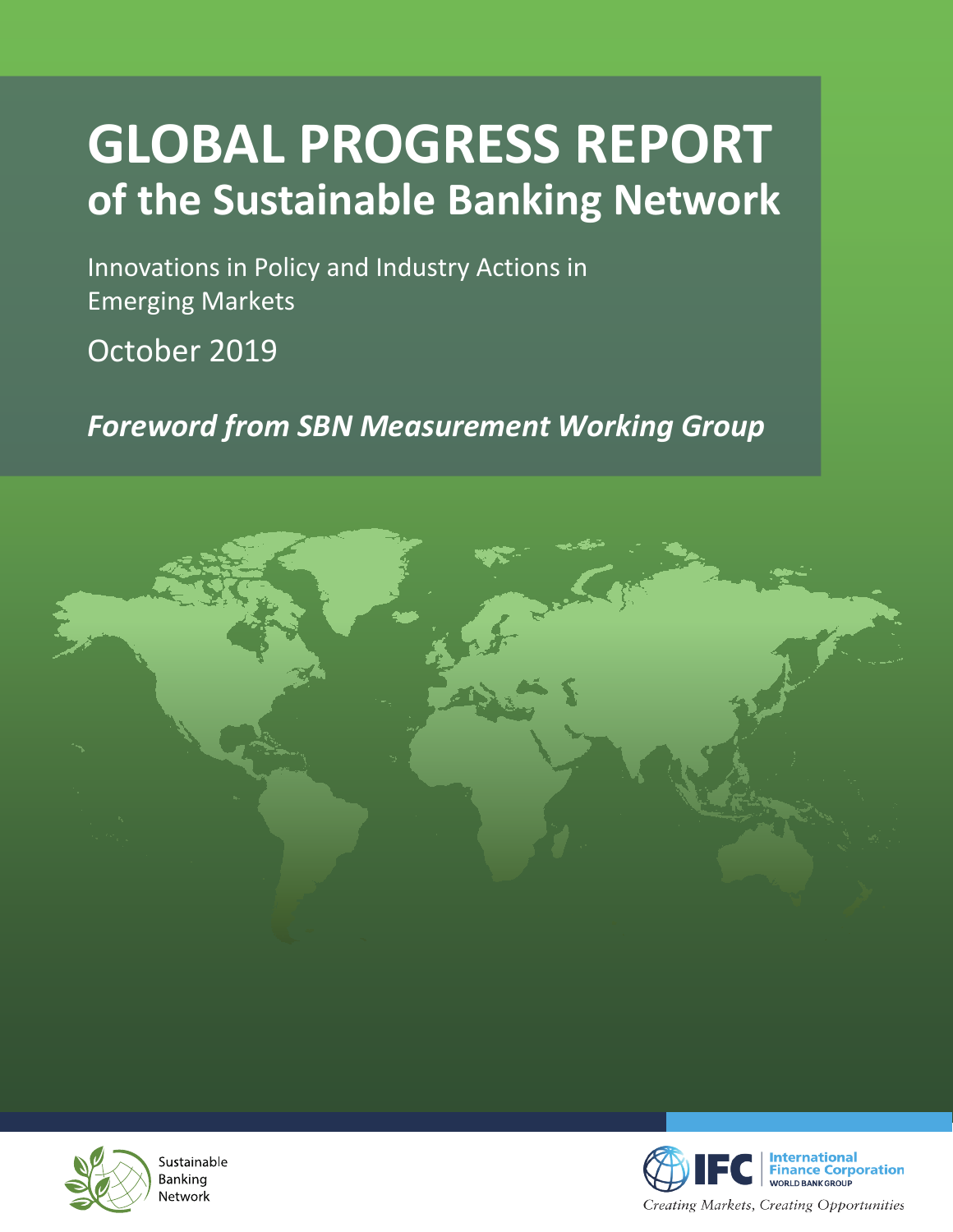## **GLOBAL PROGRESS REPORT of the Sustainable Banking Network**

Innovations in Policy and Industry Actions in Emerging Markets

October 2019

*Foreword from SBN Measurement Working Group*





Sustainable Banking Network